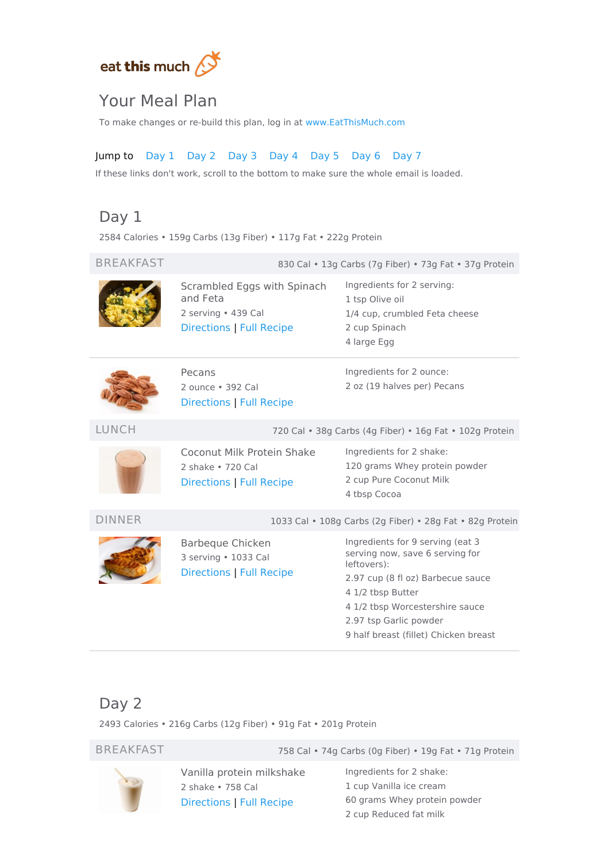

# Your Meal Plan

To make changes or re-build this plan, log in at [www.EatThisMuch.com](https://www.eatthismuch.com/)

# Jump to [Day](#page-0-0) 1 [Day](#page-0-1) 2 [Day](#page-1-0) 3 [Day](#page-2-0) 4 [Day](#page-3-0) 5 [Day](#page-4-0) 6 [Day](#page-5-0) 7

If these links don't work, scroll to the bottom to make sure the whole email is loaded.

# <span id="page-0-0"></span>Day 1

2584 Calories • 159g Carbs (13g Fiber) • 117g Fat • 222g Protein

#### BREAKFAST 830 Cal • 13g Carbs (7g Fiber) • 73g Fat • 37g Protein Scrambled Eggs with Spinach and Feta 2 serving • 439 Cal [Directions](#page-5-1) | Full [Recipe](https://www.eatthismuch.com/recipe/view/scrambled-eggs-with-spinach-and-feta,207668/) Ingredients for 2 serving: 1 tsp Olive oil 1/4 cup, crumbled Feta cheese 2 cup Spinach 4 large Egg Pecans 2 ounce • 392 Cal Directions | Full [Recipe](https://www.eatthismuch.com/recipe/view/pecans,532146/) Ingredients for 2 ounce: 2 oz (19 halves per) Pecans LUNCH 720 Cal • 38g Carbs (4g Fiber) • 16g Fat • 102g Protein Coconut Milk Protein Shake 2 shake • 720 Cal [Directions](#page-5-2) | Full [Recipe](https://www.eatthismuch.com/recipe/view/coconut-milk-protein-shake,34529/) Ingredients for 2 shake: 120 grams Whey protein powder 2 cup Pure Coconut Milk 4 tbsp Cocoa DINNER 1033 Cal • 108g Carbs (2g Fiber) • 28g Fat • 82g Protein Barbeque Chicken 3 serving • 1033 Cal [Directions](#page-6-0) | Full [Recipe](https://www.eatthismuch.com/recipe/view/barbeque-chicken,34749/) Ingredients for 9 serving (eat 3 serving now, save 6 serving for leftovers): 2.97 cup (8 fl oz) Barbecue sauce 4 1/2 tbsp Butter 4 1/2 tbsp Worcestershire sauce 2.97 tsp Garlic powder 9 half breast (fillet) Chicken breast

# <span id="page-0-1"></span>Day 2

2493 Calories • 216g Carbs (12g Fiber) • 91g Fat • 201g Protein

BREAKFAST 758 Cal • 74g Carbs (0g Fiber) • 19g Fat • 71g Protein



Vanilla protein milkshake 2 shake • 758 Cal [Directions](#page-6-1) | Full [Recipe](https://www.eatthismuch.com/recipe/view/vanilla-protein-milkshake,34675/)

Ingredients for 2 shake: cup Vanilla ice cream grams Whey protein powder cup Reduced fat milk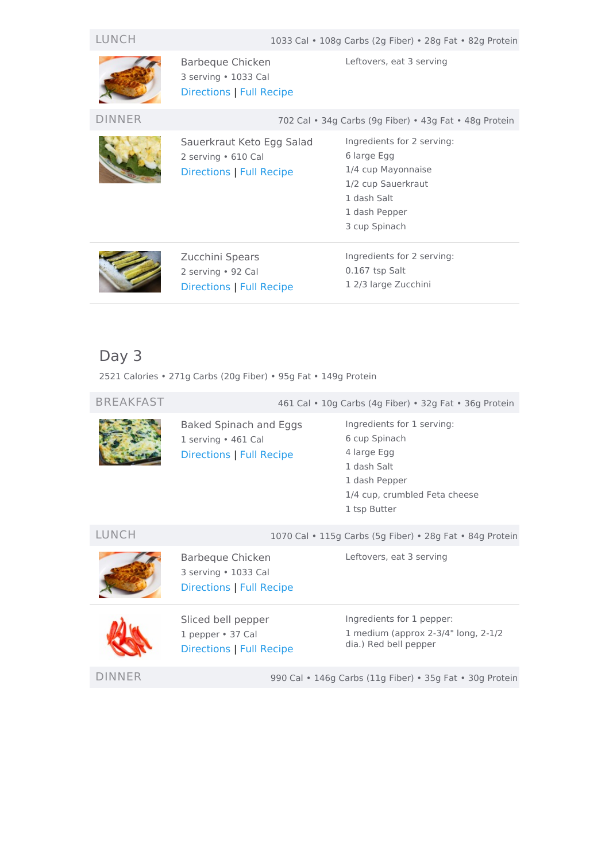| LUNCH         |                                                                              | 1033 Cal • 108g Carbs (2g Fiber) • 28g Fat • 82g Protein                                                                               |
|---------------|------------------------------------------------------------------------------|----------------------------------------------------------------------------------------------------------------------------------------|
|               | Barbeque Chicken<br>3 serving • 1033 Cal<br>Directions   Full Recipe         | Leftovers, eat 3 serving                                                                                                               |
| <b>DINNER</b> |                                                                              | 702 Cal • 34g Carbs (9g Fiber) • 43g Fat • 48g Protein                                                                                 |
|               | Sauerkraut Keto Egg Salad<br>2 serving • 610 Cal<br>Directions   Full Recipe | Ingredients for 2 serving:<br>6 large Egg<br>1/4 cup Mayonnaise<br>1/2 cup Sauerkraut<br>1 dash Salt<br>1 dash Pepper<br>3 cup Spinach |
|               | Zucchini Spears<br>2 serving • 92 Cal<br>Directions   Full Recipe            | Ingredients for 2 serving:<br>$0.167$ tsp Salt<br>1 2/3 large Zucchini                                                                 |

<span id="page-1-0"></span>2521 Calories • 271g Carbs (20g Fiber) • 95g Fat • 149g Protein

BREAKFAST 461 Cal • 10g Carbs (4g Fiber) • 32g Fat • 36g Protein Baked Spinach and Eggs 1 serving • 461 Cal [Directions](#page-6-4) | Full [Recipe](https://www.eatthismuch.com/recipe/view/baked-spinach-and-eggs,385883/) Ingredients for 1 serving: 6 cup Spinach 4 large Egg 1 dash Salt 1 dash Pepper 1/4 cup, crumbled Feta cheese 1 tsp Butter LUNCH 1070 Cal • 115g Carbs (5g Fiber) • 28g Fat • 84g Protein Barbeque Chicken 3 serving • 1033 Cal [Directions](#page-6-0) | Full [Recipe](https://www.eatthismuch.com/recipe/view/barbeque-chicken,34749/) Leftovers, eat 3 serving Sliced bell pepper 1 pepper • 37 Cal [Directions](#page-6-5) | Full [Recipe](https://www.eatthismuch.com/recipe/view/sliced-bell-pepper,516766/) Ingredients for 1 pepper: 1 medium (approx 2-3/4" long, 2-1/2 dia.) Red bell pepper

DINNER 990 Cal • 146g Carbs (11g Fiber) • 35g Fat • 30g Protein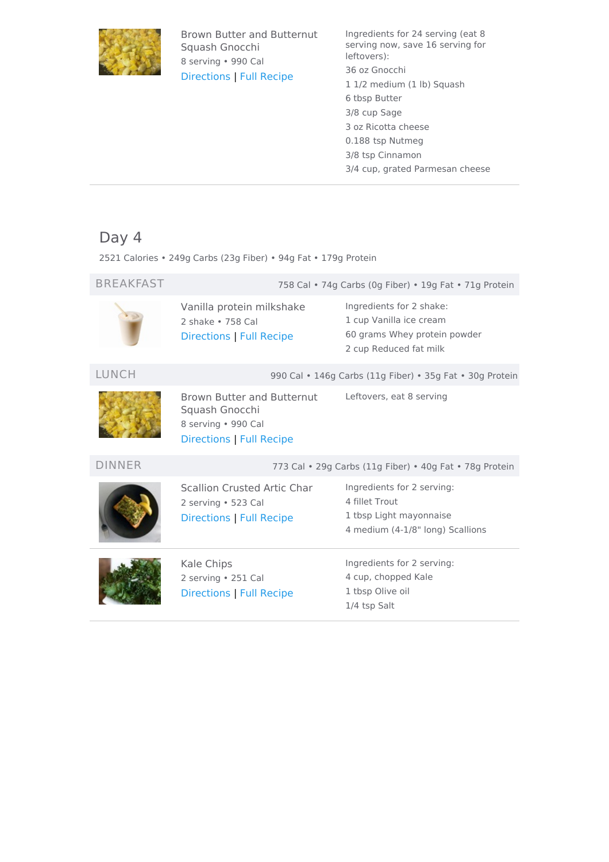

Brown Butter and Butternut Squash Gnocchi 8 serving • 990 Cal [Directions](#page-7-0) | Full [Recipe](https://www.eatthismuch.com/recipe/view/brown-butter-and-butternut-squash-gnocchi,412988/)

Ingredients for 24 serving (eat 8 serving now, save 16 serving for leftovers): 36 oz Gnocchi 1 1/2 medium (1 lb) Squash 6 tbsp Butter 3/8 cup Sage 3 oz Ricotta cheese 0.188 tsp Nutmeg 3/8 tsp Cinnamon 3/4 cup, grated Parmesan cheese

# <span id="page-2-0"></span>Day 4

2521 Calories • 249g Carbs (23g Fiber) • 94g Fat • 179g Protein

| <b>BREAKFAST</b> |                                                                                                 | 758 Cal • 74g Carbs (0g Fiber) • 19g Fat • 71g Protein                                                        |
|------------------|-------------------------------------------------------------------------------------------------|---------------------------------------------------------------------------------------------------------------|
|                  | Vanilla protein milkshake<br>2 shake • 758 Cal<br><b>Directions   Full Recipe</b>               | Ingredients for 2 shake:<br>1 cup Vanilla ice cream<br>60 grams Whey protein powder<br>2 cup Reduced fat milk |
| <b>LUNCH</b>     |                                                                                                 | 990 Cal • 146g Carbs (11g Fiber) • 35g Fat • 30g Protein                                                      |
|                  | Brown Butter and Butternut<br>Squash Gnocchi<br>8 serving · 990 Cal<br>Directions   Full Recipe | Leftovers, eat 8 serving                                                                                      |
| <b>DINNER</b>    |                                                                                                 | 773 Cal . 29g Carbs (11g Fiber) . 40g Fat . 78g Protein                                                       |
|                  |                                                                                                 |                                                                                                               |
|                  | <b>Scallion Crusted Artic Char</b><br>2 serving • 523 Cal<br>Directions   Full Recipe           | Ingredients for 2 serving:<br>4 fillet Trout<br>1 tbsp Light mayonnaise<br>4 medium (4-1/8" long) Scallions   |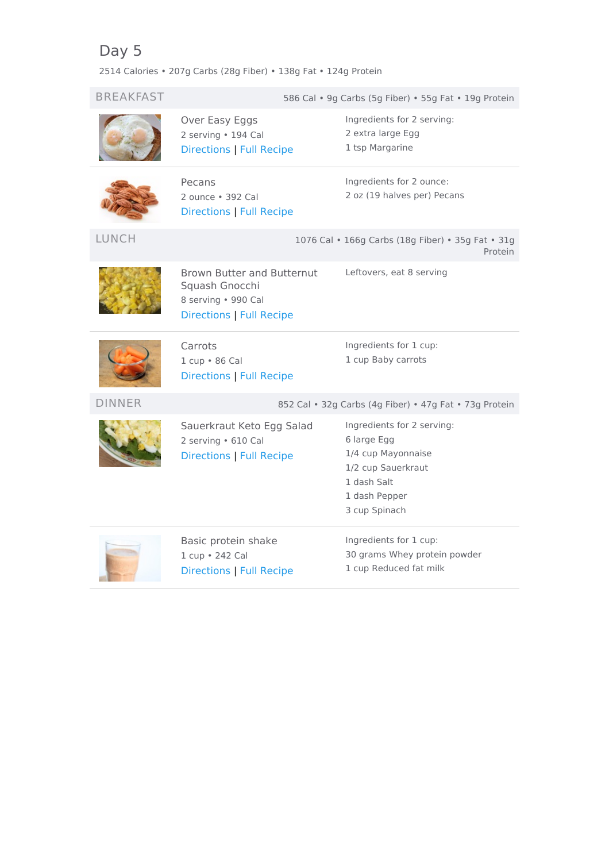<span id="page-3-0"></span>2514 Calories • 207g Carbs (28g Fiber) • 138g Fat • 124g Protein

| <b>BREAKFAST</b> |                                                                                                        | 586 Cal . 9g Carbs (5g Fiber) . 55g Fat . 19g Protein                                                                                  |
|------------------|--------------------------------------------------------------------------------------------------------|----------------------------------------------------------------------------------------------------------------------------------------|
|                  | Over Easy Eggs<br>2 serving · 194 Cal<br><b>Directions   Full Recipe</b>                               | Ingredients for 2 serving:<br>2 extra large Egg<br>1 tsp Margarine                                                                     |
|                  | Pecans<br>2 ounce · 392 Cal<br><b>Directions   Full Recipe</b>                                         | Ingredients for 2 ounce:<br>2 oz (19 halves per) Pecans                                                                                |
| <b>LUNCH</b>     |                                                                                                        | 1076 Cal . 166g Carbs (18g Fiber) . 35g Fat . 31g<br>Protein                                                                           |
|                  | <b>Brown Butter and Butternut</b><br>Squash Gnocchi<br>8 serving · 990 Cal<br>Directions   Full Recipe | Leftovers, eat 8 serving                                                                                                               |
|                  | Carrots<br>1 cup . 86 Cal<br><b>Directions   Full Recipe</b>                                           | Ingredients for 1 cup:<br>1 cup Baby carrots                                                                                           |
| <b>DINNER</b>    | 852 Cal · 32g Carbs (4g Fiber) · 47g Fat · 73g Protein                                                 |                                                                                                                                        |
|                  | Sauerkraut Keto Egg Salad<br>2 serving • 610 Cal<br><b>Directions   Full Recipe</b>                    | Ingredients for 2 serving:<br>6 large Egg<br>1/4 cup Mayonnaise<br>1/2 cup Sauerkraut<br>1 dash Salt<br>1 dash Pepper<br>3 cup Spinach |
|                  | Basic protein shake<br>1 cup . 242 Cal<br><b>Directions   Full Recipe</b>                              | Ingredients for 1 cup:<br>30 grams Whey protein powder<br>1 cup Reduced fat milk                                                       |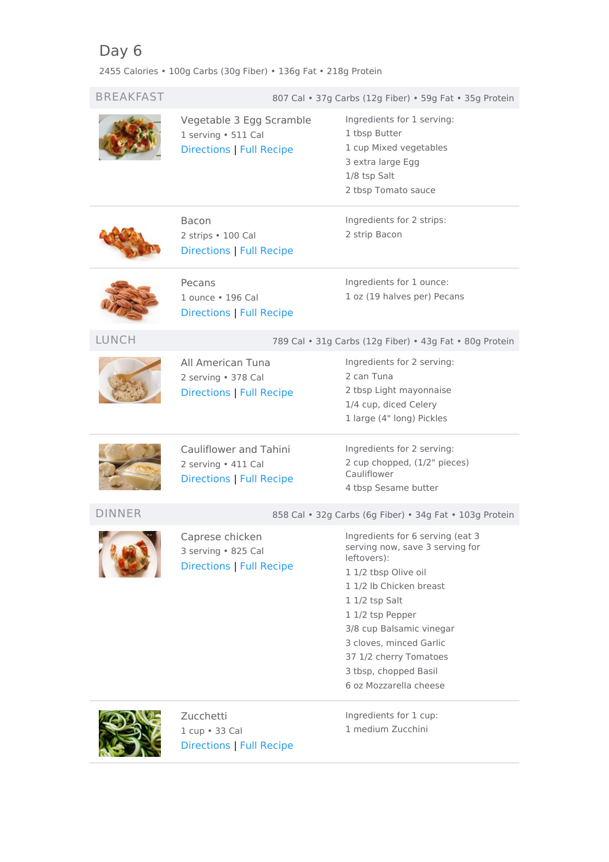<span id="page-4-0"></span>2455 Calories • 100g Carbs (30g Fiber) • 136g Fat • 218g Protein

| <b>BREAKFAST</b> |                                                                             | 807 Cal • 37g Carbs (12g Fiber) • 59g Fat • 35g Protein                                                                                                                                                                                                                                                         |
|------------------|-----------------------------------------------------------------------------|-----------------------------------------------------------------------------------------------------------------------------------------------------------------------------------------------------------------------------------------------------------------------------------------------------------------|
|                  | Vegetable 3 Egg Scramble<br>1 serving · 511 Cal<br>Directions   Full Recipe | Ingredients for 1 serving:<br>1 tbsp Butter<br>1 cup Mixed vegetables<br>3 extra large Egg<br>1/8 tsp Salt<br>2 tbsp Tomato sauce                                                                                                                                                                               |
|                  | Bacon<br>2 strips • 100 Cal<br>Directions   Full Recipe                     | Ingredients for 2 strips:<br>2 strip Bacon                                                                                                                                                                                                                                                                      |
|                  | Pecans<br>1 ounce . 196 Cal<br>Directions   Full Recipe                     | Ingredients for 1 ounce:<br>1 oz (19 halves per) Pecans                                                                                                                                                                                                                                                         |
| <b>LUNCH</b>     | 789 Cal · 31g Carbs (12g Fiber) · 43g Fat · 80g Protein                     |                                                                                                                                                                                                                                                                                                                 |
|                  | All American Tuna<br>2 serving · 378 Cal<br>Directions   Full Recipe        | Ingredients for 2 serving:<br>2 can Tuna<br>2 tbsp Light mayonnaise<br>1/4 cup, diced Celery<br>1 large (4" long) Pickles                                                                                                                                                                                       |
|                  | Cauliflower and Tahini<br>2 serving . 411 Cal<br>Directions   Full Recipe   | Ingredients for 2 serving:<br>2 cup chopped, (1/2" pieces)<br>Cauliflower<br>4 tbsp Sesame butter                                                                                                                                                                                                               |
| <b>DINNER</b>    | 858 Cal · 32g Carbs (6g Fiber) · 34g Fat · 103g Protein                     |                                                                                                                                                                                                                                                                                                                 |
|                  | Caprese chicken<br>3 serving · 825 Cal<br><b>Directions   Full Recipe</b>   | Ingredients for 6 serving (eat 3<br>serving now, save 3 serving for<br>leftovers):<br>1 1/2 tbsp Olive oil<br>1 1/2 lb Chicken breast<br>1 1/2 tsp Salt<br>1 1/2 tsp Pepper<br>3/8 cup Balsamic vinegar<br>3 cloves, minced Garlic<br>37 1/2 cherry Tomatoes<br>3 tbsp, chopped Basil<br>6 oz Mozzarella cheese |
|                  | Zucchetti<br>1 cup . 33 Cal<br>Directions   Full Recipe                     | Ingredients for 1 cup:<br>1 medium Zucchini                                                                                                                                                                                                                                                                     |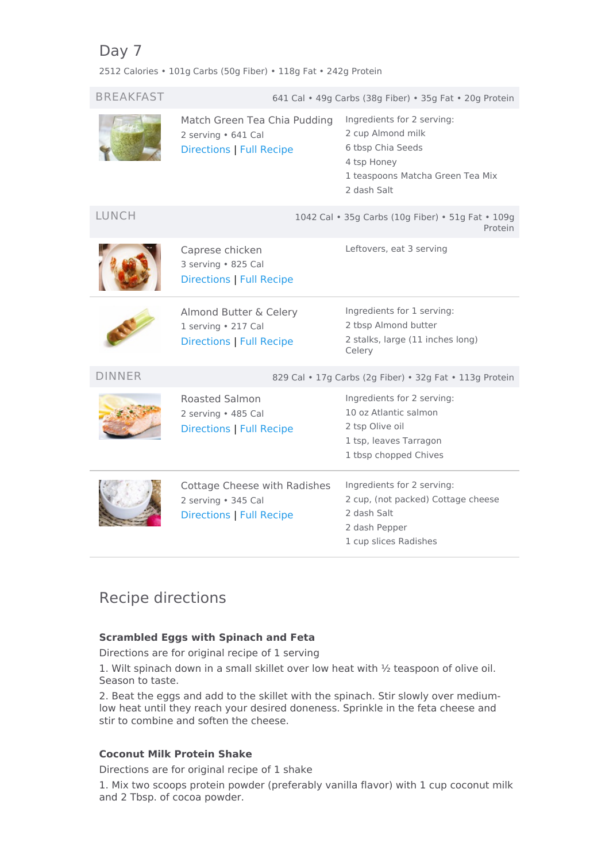<span id="page-5-0"></span>2512 Calories • 101g Carbs (50g Fiber) • 118g Fat • 242g Protein

| <b>BREAKFAST</b> |                                                                                        | 641 Cal • 49g Carbs (38g Fiber) • 35g Fat • 20g Protein                                                                                |
|------------------|----------------------------------------------------------------------------------------|----------------------------------------------------------------------------------------------------------------------------------------|
|                  | Match Green Tea Chia Pudding<br>2 serving • 641 Cal<br><b>Directions   Full Recipe</b> | Ingredients for 2 serving:<br>2 cup Almond milk<br>6 tbsp Chia Seeds<br>4 tsp Honey<br>1 teaspoons Matcha Green Tea Mix<br>2 dash Salt |
| <b>LUNCH</b>     |                                                                                        | 1042 Cal • 35g Carbs (10g Fiber) • 51g Fat • 109g<br>Protein                                                                           |
|                  | Caprese chicken<br>3 serving . 825 Cal<br><b>Directions   Full Recipe</b>              | Leftovers, eat 3 serving                                                                                                               |
|                  | Almond Butter & Celery<br>1 serving • 217 Cal<br><b>Directions   Full Recipe</b>       | Ingredients for 1 serving:<br>2 tbsp Almond butter<br>2 stalks, large (11 inches long)<br>Celery                                       |
| <b>DINNER</b>    | 829 Cal . 17g Carbs (2g Fiber) . 32g Fat . 113g Protein                                |                                                                                                                                        |
|                  | <b>Roasted Salmon</b><br>2 serving · 485 Cal<br><b>Directions   Full Recipe</b>        | Ingredients for 2 serving:<br>10 oz Atlantic salmon<br>2 tsp Olive oil<br>1 tsp, leaves Tarragon<br>1 tbsp chopped Chives              |
|                  | Cottage Cheese with Radishes<br>2 serving · 345 Cal<br><b>Directions   Full Recipe</b> | Ingredients for 2 serving:<br>2 cup, (not packed) Cottage cheese<br>2 dash Salt<br>2 dash Pepper<br>1 cup slices Radishes              |

# Recipe directions

# <span id="page-5-1"></span>**Scrambled Eggs with Spinach and Feta**

Directions are for original recipe of 1 serving

1. Wilt spinach down in a small skillet over low heat with ½ teaspoon of olive oil. Season to taste.

2. Beat the eggs and add to the skillet with the spinach. Stir slowly over mediumlow heat until they reach your desired doneness. Sprinkle in the feta cheese and stir to combine and soften the cheese.

# <span id="page-5-2"></span>**Coconut Milk Protein Shake**

Directions are for original recipe of 1 shake

1. Mix two scoops protein powder (preferably vanilla flavor) with 1 cup coconut milk and 2 Tbsp. of cocoa powder.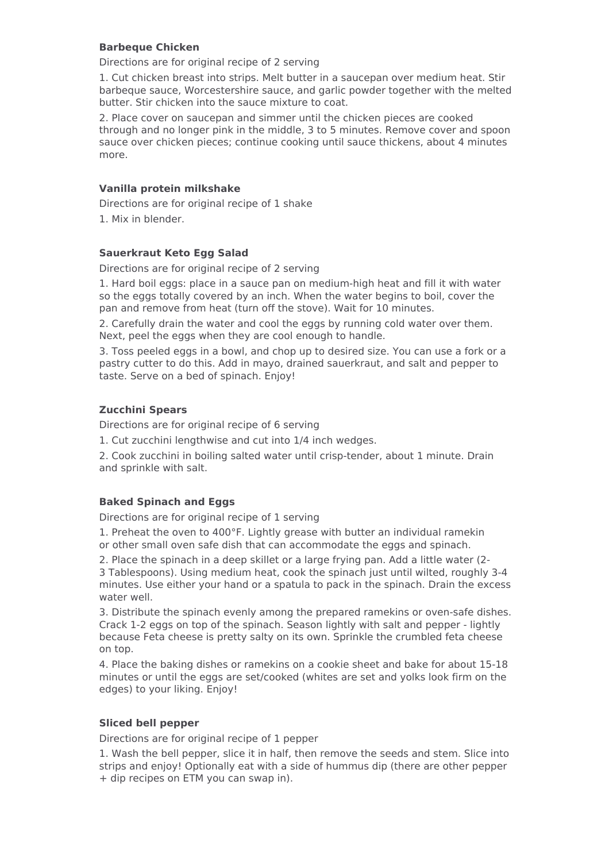# <span id="page-6-0"></span>**Barbeque Chicken**

Directions are for original recipe of 2 serving

1. Cut chicken breast into strips. Melt butter in a saucepan over medium heat. Stir barbeque sauce, Worcestershire sauce, and garlic powder together with the melted butter. Stir chicken into the sauce mixture to coat.

2. Place cover on saucepan and simmer until the chicken pieces are cooked through and no longer pink in the middle, 3 to 5 minutes. Remove cover and spoon sauce over chicken pieces; continue cooking until sauce thickens, about 4 minutes more.

### <span id="page-6-1"></span>**Vanilla protein milkshake**

Directions are for original recipe of 1 shake 1. Mix in blender.

# <span id="page-6-2"></span>**Sauerkraut Keto Egg Salad**

Directions are for original recipe of 2 serving

1. Hard boil eggs: place in a sauce pan on medium-high heat and fill it with water so the eggs totally covered by an inch. When the water begins to boil, cover the pan and remove from heat (turn off the stove). Wait for 10 minutes.

2. Carefully drain the water and cool the eggs by running cold water over them. Next, peel the eggs when they are cool enough to handle.

3. Toss peeled eggs in a bowl, and chop up to desired size. You can use a fork or a pastry cutter to do this. Add in mayo, drained sauerkraut, and salt and pepper to taste. Serve on a bed of spinach. Enjoy!

# <span id="page-6-3"></span>**Zucchini Spears**

Directions are for original recipe of 6 serving

1. Cut zucchini lengthwise and cut into 1/4 inch wedges.

2. Cook zucchini in boiling salted water until crisp-tender, about 1 minute. Drain and sprinkle with salt.

# <span id="page-6-4"></span>**Baked Spinach and Eggs**

Directions are for original recipe of 1 serving

1. Preheat the oven to 400°F. Lightly grease with butter an individual ramekin or other small oven safe dish that can accommodate the eggs and spinach.

2. Place the spinach in a deep skillet or a large frying pan. Add a little water (2- 3 Tablespoons). Using medium heat, cook the spinach just until wilted, roughly 3-4 minutes. Use either your hand or a spatula to pack in the spinach. Drain the excess water well.

3. Distribute the spinach evenly among the prepared ramekins or oven-safe dishes. Crack 1-2 eggs on top of the spinach. Season lightly with salt and pepper - lightly because Feta cheese is pretty salty on its own. Sprinkle the crumbled feta cheese on top.

4. Place the baking dishes or ramekins on a cookie sheet and bake for about 15-18 minutes or until the eggs are set/cooked (whites are set and yolks look firm on the edges) to your liking. Enjoy!

### <span id="page-6-5"></span>**Sliced bell pepper**

Directions are for original recipe of 1 pepper

1. Wash the bell pepper, slice it in half, then remove the seeds and stem. Slice into strips and enjoy! Optionally eat with a side of hummus dip (there are other pepper + dip recipes on ETM you can swap in).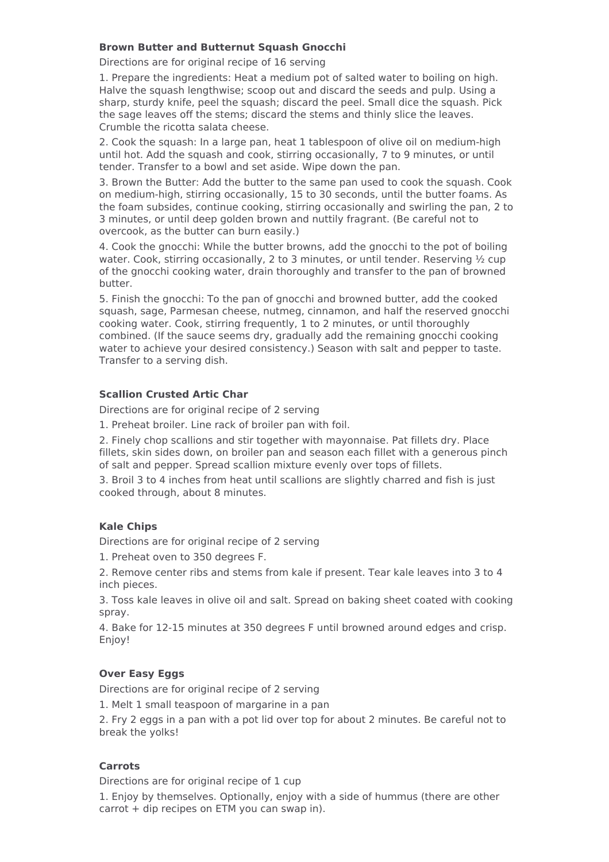### <span id="page-7-0"></span>**Brown Butter and Butternut Squash Gnocchi**

Directions are for original recipe of 16 serving

1. Prepare the ingredients: Heat a medium pot of salted water to boiling on high. Halve the squash lengthwise; scoop out and discard the seeds and pulp. Using a sharp, sturdy knife, peel the squash; discard the peel. Small dice the squash. Pick the sage leaves off the stems; discard the stems and thinly slice the leaves. Crumble the ricotta salata cheese.

2. Cook the squash: In a large pan, heat 1 tablespoon of olive oil on medium-high until hot. Add the squash and cook, stirring occasionally, 7 to 9 minutes, or until tender. Transfer to a bowl and set aside. Wipe down the pan.

3. Brown the Butter: Add the butter to the same pan used to cook the squash. Cook on medium-high, stirring occasionally, 15 to 30 seconds, until the butter foams. As the foam subsides, continue cooking, stirring occasionally and swirling the pan, 2 to 3 minutes, or until deep golden brown and nuttily fragrant. (Be careful not to overcook, as the butter can burn easily.)

4. Cook the gnocchi: While the butter browns, add the gnocchi to the pot of boiling water. Cook, stirring occasionally, 2 to 3 minutes, or until tender. Reserving  $\frac{1}{2}$  cup of the gnocchi cooking water, drain thoroughly and transfer to the pan of browned butter.

5. Finish the gnocchi: To the pan of gnocchi and browned butter, add the cooked squash, sage, Parmesan cheese, nutmeg, cinnamon, and half the reserved gnocchi cooking water. Cook, stirring frequently, 1 to 2 minutes, or until thoroughly combined. (If the sauce seems dry, gradually add the remaining gnocchi cooking water to achieve your desired consistency.) Season with salt and pepper to taste. Transfer to a serving dish.

# <span id="page-7-1"></span>**Scallion Crusted Artic Char**

Directions are for original recipe of 2 serving

1. Preheat broiler. Line rack of broiler pan with foil.

2. Finely chop scallions and stir together with mayonnaise. Pat fillets dry. Place fillets, skin sides down, on broiler pan and season each fillet with a generous pinch of salt and pepper. Spread scallion mixture evenly over tops of fillets.

3. Broil 3 to 4 inches from heat until scallions are slightly charred and fish is just cooked through, about 8 minutes.

# <span id="page-7-2"></span>**Kale Chips**

Directions are for original recipe of 2 serving

1. Preheat oven to 350 degrees F.

2. Remove center ribs and stems from kale if present. Tear kale leaves into 3 to 4 inch pieces.

3. Toss kale leaves in olive oil and salt. Spread on baking sheet coated with cooking spray.

4. Bake for 12-15 minutes at 350 degrees F until browned around edges and crisp. Enjoy!

# <span id="page-7-3"></span>**Over Easy Eggs**

Directions are for original recipe of 2 serving

1. Melt 1 small teaspoon of margarine in a pan

2. Fry 2 eggs in a pan with a pot lid over top for about 2 minutes. Be careful not to break the yolks!

### <span id="page-7-4"></span>**Carrots**

Directions are for original recipe of 1 cup

1. Enjoy by themselves. Optionally, enjoy with a side of hummus (there are other carrot + dip recipes on ETM you can swap in).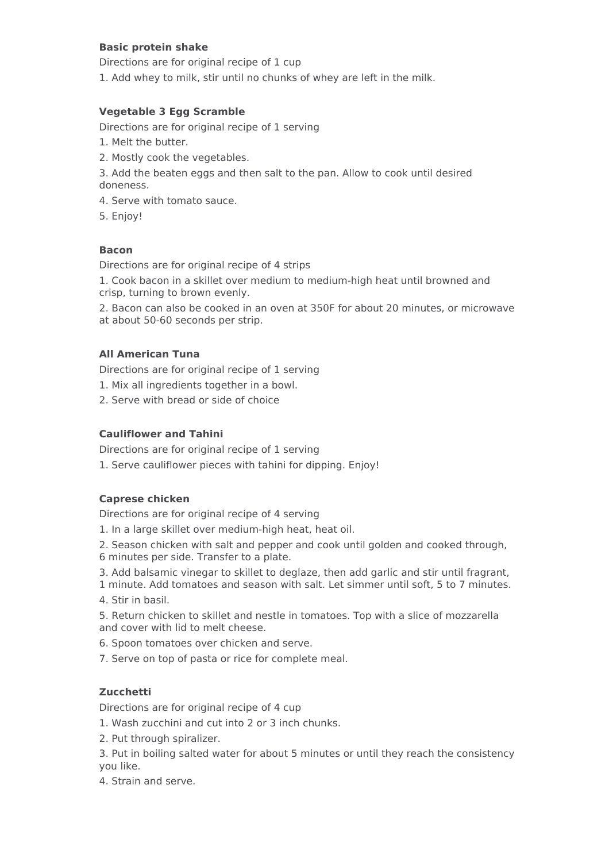# <span id="page-8-0"></span>**Basic protein shake**

Directions are for original recipe of 1 cup

1. Add whey to milk, stir until no chunks of whey are left in the milk.

# <span id="page-8-1"></span>**Vegetable 3 Egg Scramble**

Directions are for original recipe of 1 serving

- 1. Melt the butter.
- 2. Mostly cook the vegetables.
- 3. Add the beaten eggs and then salt to the pan. Allow to cook until desired doneness.
- 4. Serve with tomato sauce.
- 5. Enjoy!

# <span id="page-8-2"></span>**Bacon**

Directions are for original recipe of 4 strips

1. Cook bacon in a skillet over medium to medium-high heat until browned and crisp, turning to brown evenly.

2. Bacon can also be cooked in an oven at 350F for about 20 minutes, or microwave at about 50-60 seconds per strip.

# <span id="page-8-3"></span>**All American Tuna**

Directions are for original recipe of 1 serving

- 1. Mix all ingredients together in a bowl.
- 2. Serve with bread or side of choice

### <span id="page-8-4"></span>**Cauliflower and Tahini**

Directions are for original recipe of 1 serving

1. Serve cauliflower pieces with tahini for dipping. Enjoy!

# <span id="page-8-5"></span>**Caprese chicken**

Directions are for original recipe of 4 serving

- 1. In a large skillet over medium-high heat, heat oil.
- 2. Season chicken with salt and pepper and cook until golden and cooked through,
- 6 minutes per side. Transfer to a plate.
- 3. Add balsamic vinegar to skillet to deglaze, then add garlic and stir until fragrant,
- 1 minute. Add tomatoes and season with salt. Let simmer until soft, 5 to 7 minutes. 4. Stir in basil.

5. Return chicken to skillet and nestle in tomatoes. Top with a slice of mozzarella and cover with lid to melt cheese.

- 6. Spoon tomatoes over chicken and serve.
- 7. Serve on top of pasta or rice for complete meal.

# <span id="page-8-6"></span>**Zucchetti**

Directions are for original recipe of 4 cup

1. Wash zucchini and cut into 2 or 3 inch chunks.

- 2. Put through spiralizer.
- 3. Put in boiling salted water for about 5 minutes or until they reach the consistency you like.
- 4. Strain and serve.